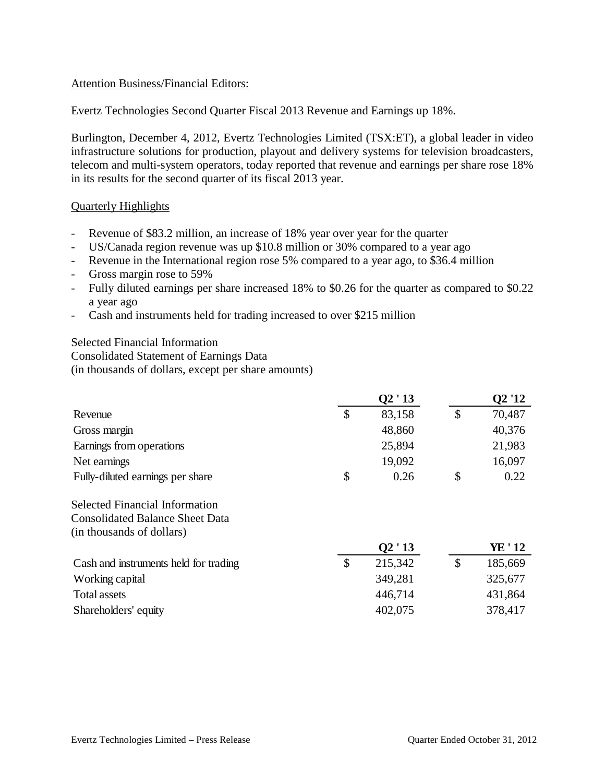## Attention Business/Financial Editors:

Evertz Technologies Second Quarter Fiscal 2013 Revenue and Earnings up 18%.

Burlington, December 4, 2012, Evertz Technologies Limited (TSX:ET), a global leader in video infrastructure solutions for production, playout and delivery systems for television broadcasters, telecom and multi-system operators, today reported that revenue and earnings per share rose 18% in its results for the second quarter of its fiscal 2013 year.

### Quarterly Highlights

- Revenue of \$83.2 million, an increase of 18% year over year for the quarter
- US/Canada region revenue was up \$10.8 million or 30% compared to a year ago
- Revenue in the International region rose 5% compared to a year ago, to \$36.4 million
- Gross margin rose to 59%
- Fully diluted earnings per share increased 18% to \$0.26 for the quarter as compared to \$0.22 a year ago
- Cash and instruments held for trading increased to over \$215 million

Selected Financial Information Consolidated Statement of Earnings Data (in thousands of dollars, except per share amounts)

|                                  | Q2 ' 13      | Q2 '12 |
|----------------------------------|--------------|--------|
| Revenue                          | \$<br>83,158 | 70,487 |
| Gross margin                     | 48,860       | 40,376 |
| Earnings from operations         | 25,894       | 21,983 |
| Net earnings                     | 19,092       | 16,097 |
| Fully-diluted earnings per share | \$<br>0.26   | 0.22   |

#### Selected Financial Information Consolidated Balance Sheet Data (in thousands of dollars)

|                                       | Q2'13   | YE ' 12 |
|---------------------------------------|---------|---------|
| Cash and instruments held for trading | 215,342 | 185,669 |
| Working capital                       | 349,281 | 325,677 |
| Total assets                          | 446,714 | 431,864 |
| Shareholders' equity                  | 402,075 | 378,417 |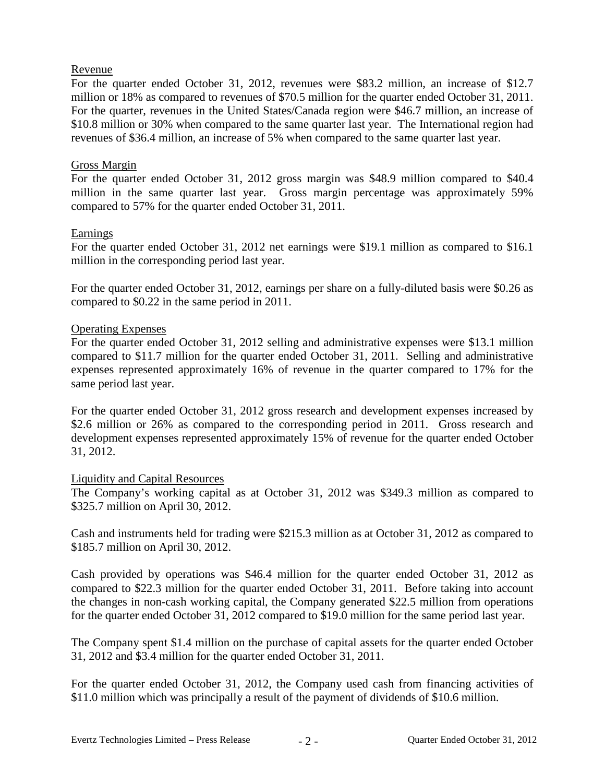### Revenue

For the quarter ended October 31, 2012, revenues were \$83.2 million, an increase of \$12.7 million or 18% as compared to revenues of \$70.5 million for the quarter ended October 31, 2011. For the quarter, revenues in the United States/Canada region were \$46.7 million, an increase of \$10.8 million or 30% when compared to the same quarter last year. The International region had revenues of \$36.4 million, an increase of 5% when compared to the same quarter last year.

# Gross Margin

For the quarter ended October 31, 2012 gross margin was \$48.9 million compared to \$40.4 million in the same quarter last year. Gross margin percentage was approximately 59% compared to 57% for the quarter ended October 31, 2011.

# Earnings

For the quarter ended October 31, 2012 net earnings were \$19.1 million as compared to \$16.1 million in the corresponding period last year.

For the quarter ended October 31, 2012, earnings per share on a fully-diluted basis were \$0.26 as compared to \$0.22 in the same period in 2011.

# Operating Expenses

For the quarter ended October 31, 2012 selling and administrative expenses were \$13.1 million compared to \$11.7 million for the quarter ended October 31, 2011. Selling and administrative expenses represented approximately 16% of revenue in the quarter compared to 17% for the same period last year.

For the quarter ended October 31, 2012 gross research and development expenses increased by \$2.6 million or 26% as compared to the corresponding period in 2011. Gross research and development expenses represented approximately 15% of revenue for the quarter ended October 31, 2012.

# Liquidity and Capital Resources

The Company's working capital as at October 31, 2012 was \$349.3 million as compared to \$325.7 million on April 30, 2012.

Cash and instruments held for trading were \$215.3 million as at October 31, 2012 as compared to \$185.7 million on April 30, 2012.

Cash provided by operations was \$46.4 million for the quarter ended October 31, 2012 as compared to \$22.3 million for the quarter ended October 31, 2011. Before taking into account the changes in non-cash working capital, the Company generated \$22.5 million from operations for the quarter ended October 31, 2012 compared to \$19.0 million for the same period last year.

The Company spent \$1.4 million on the purchase of capital assets for the quarter ended October 31, 2012 and \$3.4 million for the quarter ended October 31, 2011.

For the quarter ended October 31, 2012, the Company used cash from financing activities of \$11.0 million which was principally a result of the payment of dividends of \$10.6 million.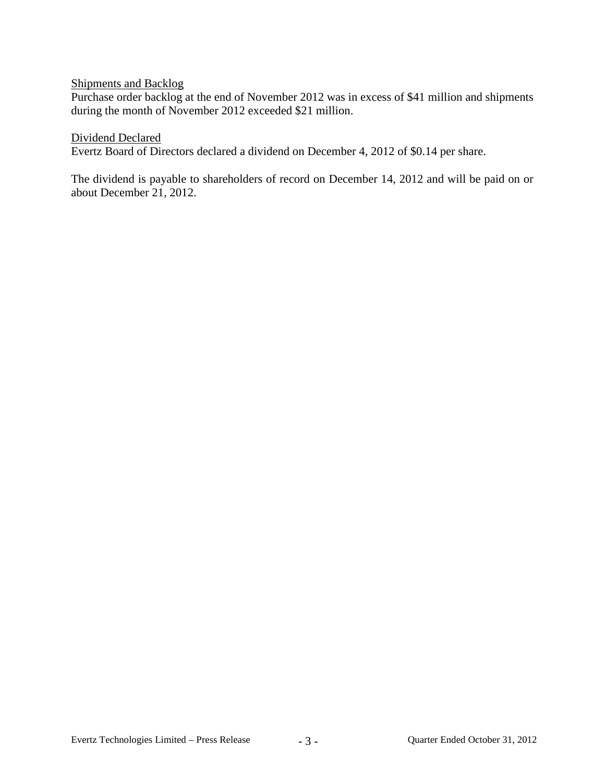# Shipments and Backlog

Purchase order backlog at the end of November 2012 was in excess of \$41 million and shipments during the month of November 2012 exceeded \$21 million.

#### Dividend Declared

Evertz Board of Directors declared a dividend on December 4, 2012 of \$0.14 per share.

The dividend is payable to shareholders of record on December 14, 2012 and will be paid on or about December 21, 2012.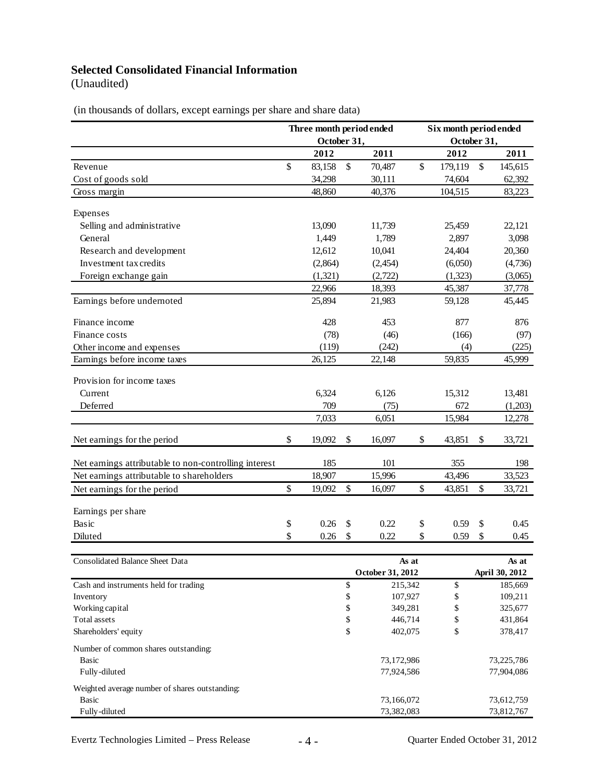# **Selected Consolidated Financial Information**

(Unaudited)

(in thousands of dollars, except earnings per share and share data)

|                                                       | Three month period ended |         |      |                  | Six month period ended |               |          |                |
|-------------------------------------------------------|--------------------------|---------|------|------------------|------------------------|---------------|----------|----------------|
|                                                       | October 31,              |         |      | October 31,      |                        |               |          |                |
|                                                       |                          | 2012    |      | 2011             |                        | 2012          |          | 2011           |
| Revenue                                               | \$                       | 83,158  | $\$$ | 70,487           | $\mathsf{\$}$          | 179,119       | \$       | 145,615        |
| Cost of goods sold                                    |                          | 34,298  |      | 30,111           |                        | 74,604        |          | 62,392         |
| Gross margin                                          |                          | 48,860  |      | 40,376           |                        | 104,515       |          | 83,223         |
| Expenses                                              |                          |         |      |                  |                        |               |          |                |
| Selling and administrative                            |                          | 13,090  |      | 11,739           |                        | 25,459        |          | 22,121         |
| General                                               |                          | 1,449   |      | 1,789            |                        | 2,897         |          | 3,098          |
| Research and development                              |                          | 12,612  |      | 10,041           |                        | 24,404        |          | 20,360         |
| Investment tax credits                                |                          | (2,864) |      | (2, 454)         |                        | (6,050)       |          | (4,736)        |
| Foreign exchange gain                                 |                          | (1,321) |      | (2,722)          |                        | (1,323)       |          | (3,065)        |
|                                                       |                          | 22,966  |      | 18,393           |                        | 45,387        |          | 37,778         |
| Earnings before undernoted                            |                          | 25,894  |      | 21,983           |                        | 59,128        |          | 45,445         |
| Finance income                                        |                          | 428     |      | 453              |                        | 877           |          | 876            |
| Finance costs                                         |                          | (78)    |      | (46)             |                        | (166)         |          | (97)           |
| Other income and expenses                             |                          | (119)   |      | (242)            |                        |               |          | (225)          |
| Earnings before income taxes                          |                          | 26,125  |      | 22,148           |                        | (4)<br>59,835 |          | 45,999         |
|                                                       |                          |         |      |                  |                        |               |          |                |
| Provision for income taxes                            |                          |         |      |                  |                        |               |          |                |
| Current                                               |                          | 6,324   |      | 6,126            |                        | 15,312        |          | 13,481         |
| Deferred                                              |                          | 709     |      | (75)             |                        | 672           |          | (1,203)        |
|                                                       |                          | 7,033   |      | 6,051            |                        | 15,984        |          | 12,278         |
| Net earnings for the period                           | \$                       | 19,092  | \$   | 16,097           | \$                     | 43,851        | \$       | 33,721         |
| Net earnings attributable to non-controlling interest |                          | 185     |      | 101              |                        | 355           |          | 198            |
| Net earnings attributable to shareholders             |                          | 18,907  |      | 15,996           |                        | 43,496        |          | 33,523         |
| Net earnings for the period                           | $\$$                     | 19,092  | \$   | 16,097           | \$                     | 43,851        | \$       | 33,721         |
|                                                       |                          |         |      |                  |                        |               |          |                |
| Earnings per share<br>Basic                           |                          | 0.26    | \$   | 0.22             |                        | 0.59          |          | 0.45           |
| Diluted                                               | \$<br>\$                 | 0.26    | \$   | 0.22             | \$<br>\$               | 0.59          | \$<br>\$ | 0.45           |
|                                                       |                          |         |      |                  |                        |               |          |                |
| Consolidated Balance Sheet Data                       |                          |         |      | As at            |                        |               |          | As at          |
|                                                       |                          |         |      | October 31, 2012 |                        |               |          | April 30, 2012 |
| Cash and instruments held for trading                 |                          |         | \$   | 215,342          |                        | \$            |          | 185,669        |
| Inventory                                             |                          |         | \$   | 107,927          |                        | \$            |          | 109,211        |
| Working capital                                       |                          |         | \$   |                  | 349,281                |               |          | 325,677        |
| Total assets                                          |                          |         | \$   | 446,714          |                        | \$            |          | 431,864        |
| Shareholders' equity                                  |                          |         | \$   | 402,075          |                        | \$            |          | 378,417        |
| Number of common shares outstanding:                  |                          |         |      |                  |                        |               |          |                |
| <b>Basic</b>                                          |                          |         |      | 73,172,986       |                        |               |          | 73,225,786     |
| Fully-diluted                                         |                          |         |      | 77,924,586       |                        |               |          | 77,904,086     |
| Weighted average number of shares outstanding:        |                          |         |      |                  |                        |               |          |                |
| <b>Basic</b>                                          |                          |         |      | 73,166,072       |                        |               |          | 73,612,759     |
| Fully-diluted                                         |                          |         |      | 73,382,083       |                        |               |          | 73,812,767     |